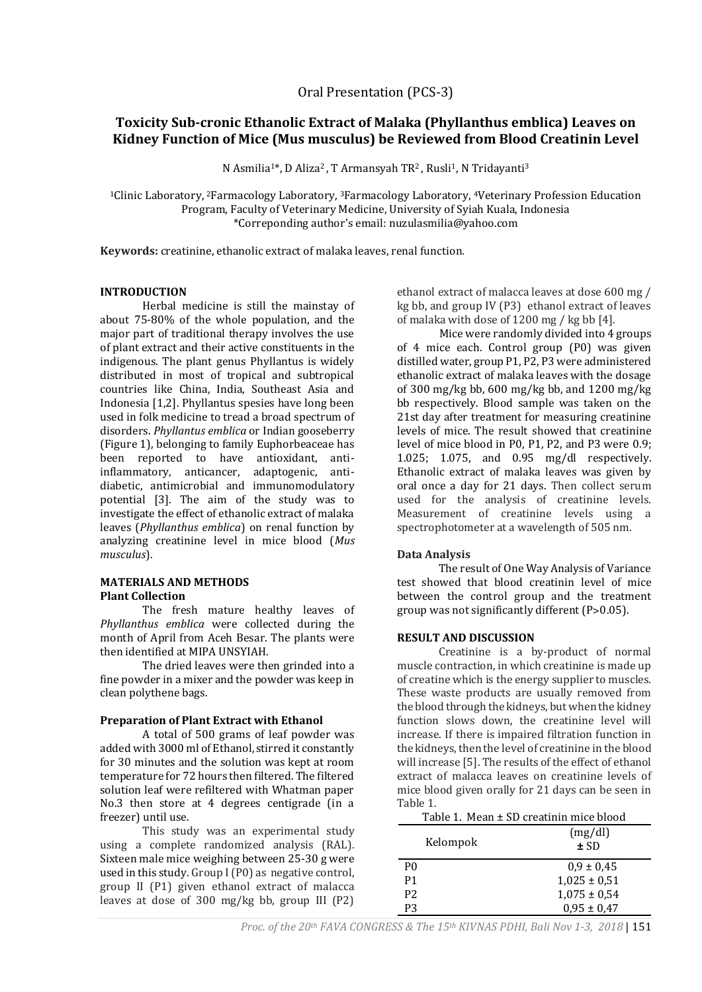# **Toxicity Sub-cronic Ethanolic Extract of Malaka (Phyllanthus emblica) Leaves on Kidney Function of Mice (Mus musculus) be Reviewed from Blood Creatinin Level**

N Asmilia<sup>1\*</sup>, D Aliza<sup>2</sup>, T Armansyah TR<sup>2</sup>, Rusli<sup>1</sup>, N Tridayanti<sup>3</sup>

<sup>1</sup>Clinic Laboratory, <sup>2</sup>Farmacology Laboratory, <sup>3</sup>Farmacology Laboratory, <sup>4</sup>Veterinary Profession Education Program, Faculty of Veterinary Medicine, University of Syiah Kuala, Indonesia \*Correponding author's email: [nuzulasmilia@yahoo.com](mailto:nuzulasmilia@yahoo.com)

**Keywords:** creatinine, ethanolic extract of malaka leaves, renal function*.*

#### **INTRODUCTION**

Herbal medicine is still the mainstay of about 75-80% of the whole population, and the major part of traditional therapy involves the use of plant extract and their active constituents in the indigenous. The plant genus Phyllantus is widely distributed in most of tropical and subtropical countries like China, India, Southeast Asia and Indonesia [1,2]. Phyllantus spesies have long been used in folk medicine to tread a broad spectrum of disorders. *Phyllantus emblica* or Indian gooseberry (Figure 1), belonging to family Euphorbeaceae has been reported to have antioxidant, antiinflammatory, anticancer, adaptogenic, antidiabetic, antimicrobial and immunomodulatory potential [3]. The aim of the study was to investigate the effect of ethanolic extract of malaka leaves (*Phyllanthus emblica*) on renal function by analyzing creatinine level in mice blood (*Mus musculus*).

#### **MATERIALS AND METHODS Plant Collection**

The fresh mature healthy leaves of *Phyllanthus emblica* were collected during the month of April from Aceh Besar. The plants were then identified at MIPA UNSYIAH.

The dried leaves were then grinded into a fine powder in a mixer and the powder was keep in clean polythene bags.

#### **Preparation of Plant Extract with Ethanol**

A total of 500 grams of leaf powder was added with 3000 ml of Ethanol, stirred it constantly for 30 minutes and the solution was kept at room temperature for 72 hours then filtered. The filtered solution leaf were refiltered with Whatman paper No.3 then store at 4 degrees centigrade (in a freezer) until use.

This study was an experimental study using a complete randomized analysis (RAL). Sixteen male mice weighing between 25-30 g were used in this study. Group I (P0) as negative control, group II (P1) given ethanol extract of malacca leaves at dose of 300 mg/kg bb, group III (P2)

ethanol extract of malacca leaves at dose 600 mg / kg bb, and group IV (P3) ethanol extract of leaves of malaka with dose of 1200 mg / kg bb [4].

Mice were randomly divided into 4 groups of 4 mice each. Control group (P0) was given distilled water, group P1, P2, P3 were administered ethanolic extract of malaka leaves with the dosage of 300 mg/kg bb, 600 mg/kg bb, and 1200 mg/kg bb respectively. Blood sample was taken on the 21st day after treatment for measuring creatinine levels of mice. The result showed that creatinine level of mice blood in P0, P1, P2, and P3 were 0.9; 1.025; 1.075, and 0.95 mg/dl respectively. Ethanolic extract of malaka leaves was given by oral once a day for 21 days. Then collect serum used for the analysis of creatinine levels. Measurement of creatinine levels using a spectrophotometer at a wavelength of 505 nm.

# **Data Analysis**

The result of One Way Analysis of Variance test showed that blood creatinin level of mice between the control group and the treatment group was not significantly different (P>0.05).

#### **RESULT AND DISCUSSION**

Creatinine is a by-product of normal muscle contraction, in which creatinine is made up of creatine which is the energy supplier to muscles. These waste products are usually removed from the blood through the kidneys, but when the kidney function slows down, the creatinine level will increase. If there is impaired filtration function in the kidneys, then the level of creatinine in the blood will increase [5]. The results of the effect of ethanol extract of malacca leaves on creatinine levels of mice blood given orally for 21 days can be seen in Table 1.

| Table 1. Mean ± SD creatinin mice blood |                  |
|-----------------------------------------|------------------|
| Kelompok                                | (mg/dl)<br>± SD  |
| P <sub>0</sub>                          | $0.9 \pm 0.45$   |
| P <sub>1</sub>                          | $1,025 \pm 0,51$ |
| P <sub>2</sub>                          | $1,075 \pm 0,54$ |
| P3                                      | $0,95 \pm 0,47$  |

*Proc. of the 20th FAVA CONGRESS & The 15th KIVNAS PDHI, Bali Nov 1-3, 2018* | 151